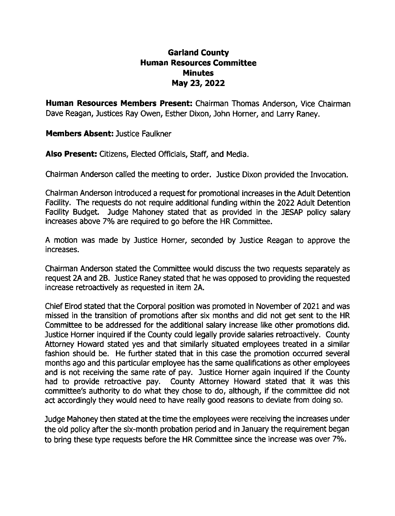## **Garland County Human Resources Committee Minutes May 23, 2022**

**Human Resources Members Present:** Chairman Thomas Anderson, Vice Chairman Dave Reagan, Justices Ray Owen, Esther Dixon, John Horner, and Larry Raney.

**Members Absent:** Justice Faulkner

**Also Present:** Citizens, Elected Officials, Staff, and Media.

Chairman Anderson called the meeting to order. Justice Dixon provided the Invocation.

Chairman Anderson introduced a request for promotional increases in the Adult Detention Facility. The requests do not require additional funding within the 2022 Adult Detention Facility Budget. Judge Mahoney stated that as provided in the JESAP policy salary increases above 7% are required to go before the HR Committee.

A motion was made by Justice Horner, seconded by Justice Reagan to approve the increases.

Chairman Anderson stated the Committee would discuss the two requests separately as request 2A and 2B. Justice Raney stated that he was opposed to providing the requested increase retroactively as requested in item 2A.

Chief Elrod stated that the Corporal position was promoted in November of 2021 and was missed in the transition of promotions after six months and did not get sent to the HR Committee to be addressed for the additional salary increase like other promotions did. Justice Horner inquired if the County could legally provide salaries retroactively. County Attorney Howard stated yes and that similarly situated employees treated in a similar fashion should be. He further stated that in this case the promotion occurred several months ago and this particular employee has the same qualifications as other employees and is not receiving the same rate of pay. Justice Horner again inquired if the County had to provide retroactive pay. County Attorney Howard stated that it was this committee's authority to do what they chose to do, although, if the committee did not act accordingly they would need to have really good reasons to deviate from doing so.

Judge Mahoney then stated at the time the employees were receiving the increases under the old policy after the six-month probation period and in January the requirement began to bring these type requests before the HR Committee since the increase was over 7%.